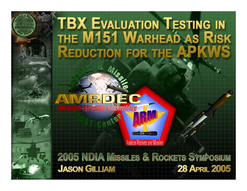# **TBX EVALUATION TESTING IN** THE M151 WARHEAD AS RISK REDUCTION FOR THE APK

#### **Aviation Rockets and Missiles**

**1 Technology** 

2005 NDIA MISSILES & ROCKETS SYMPOSIUM **JASON GILLIAM 28 APRIL 2005** 

05-0025 NDIA, Slide 1 05-0025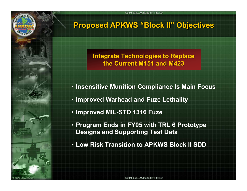

**Integrate Technologies to Replace Integrate Technologies to Replace the Current M151 and M423the Current M151 and M423**

- **Insensitive Munition Compliance Is Main Focus Insensitive Munition Compliance Is Main Focus**
- **Improved Warhead and Fuze Lethality Improved Warhead and Fuze Lethality**
- **Improved MIL-STD 1316 Fuze Improved MIL-STD 1316 Fuze**
- **Program Ends in FY05 with TRL 6 Prototype Program Ends in FY05 with TRL 6 Prototype Designs and Supporting Test Data Designs and Supporting Test Data**
- **Low Risk Transition to APKWS Block II SDD Low Risk Transition to APKWS Block II SDD**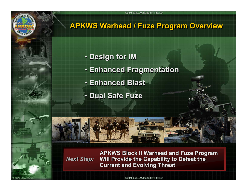

05-0025 NDIA, Slide 3

**UNCLASSIFIED** 

## **APKWS Warhead / Fuze Program Overview APKWS Warhead / Fuze Program Overview**

- **Design for IM Design for IM**
- **Enhanced Fragmentation Enhanced Fragmentation**
- **Enhanced Blast Enhanced Blast**
- **Dual Safe Fuze Dual Safe Fuze**



*Next Step: Next Step:*

**APKWS Block II Warhead and Fuze Program APKWS Block II Warhead and Fuze Program Will Provide the Capability to Defeat the Will Provide the Capability to Defeat the Current and Evolving Threat Current and Evolving Threat**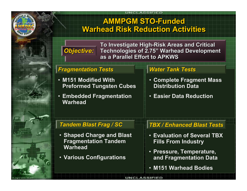# **AMMPGM STO-FundedAMMPGM STO-Funded Warhead Risk Reduction ActivitiesWarhead Risk Reduction Activities**

**UNCLASSIFIED** 

# *Objective: Objective:*

**To Investigate High-Risk Areas and Critical To Investigate High-Risk Areas and Critical Technologies of 2.75" Warhead Development Technologies of 2.75" Warhead Development as a Parallel Effort to APKWS as a Parallel Effort to APKWS**

#### *Fragmentation Tests Fragmentation Tests*

- **M151 Modified With M151 Modified With Preformed Tungsten Cubes Preformed Tungsten Cubes**
- **Embedded Fragmentation Embedded Fragmentation WarheadWarhead**

#### *Tandem Blast Frag / SC Tandem Blast Frag / SC*

- **Shaped Charge and Blast Shaped Charge and Blast Fragmentation Tandem Fragmentation Tandem WarheadWarhead**
- **Various Configurations Various Configurations**

#### *Water Tank Tests Water Tank Tests*

- **Complete Fragment Mass Complete Fragment Mass Distribution DataDistribution Data**
- **Easier Data Reduction Easier Data Reduction**

#### *TBX / Enhanced Blast Tests TBX / Enhanced Blast Tests*

- **Evaluation of Several TBX Evaluation of Several TBX Fills From Industry Fills From Industry**
- **Pressure, Temperature, Pressure, Temperature, and Fragmentation Data and Fragmentation Data**
- **M151 Warhead Bodies M151 Warhead Bodies**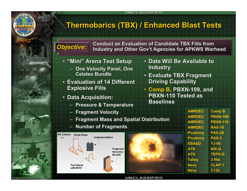# **Thermobarics (TBX) / Enhanced Blast Tests**

**UNCLASSIFIED** 

**Objective:** Conduct an Evaluation of Candidate TBX Fills from<br>Objective: Industry and Other Gov't Agencies for APKWS Warhead

- **"Mini" Arena Test Setup "Mini" Arena Test Setup**
	- **One Velocity Panel, One One Velocity Panel, One Celetex BundleCeletex Bundle**
- **Evaluation of 14 Different Evaluation of 14 Different Explosive Fills Explosive Fills**
- **Data Acquisition: Data Acquisition:**
	- **Pressure & Temperature Pressure & Temperature**
	- **Fragment Velocity Fragment Velocity**
	- **Fragment Mass and Spatial Distribution Fragment Mass and Spatial Distribution**
	- **Number of Fragments Number of Fragments**



- **Data Will Be Available to Data Will Be Available to Industry Industry**
- **Evaluate TBX Fragment Evaluate TBX Fragment Driving Capability Driving Capability**
- **Comp B, PBXN-109, and Comp B, PBXN-109, and PBXN-110 Tested as PBXN-110 Tested as BaselinesBaselines**

| <b>AMRDEC</b>    | <b>Comp B</b>   |
|------------------|-----------------|
| <b>AMRDEC</b>    | <b>PBXN-109</b> |
| <b>AMRDEC</b>    | <b>PBXN-110</b> |
| <b>AMRDEC</b>    | <b>RAX-16</b>   |
| <b>Picatinny</b> | <b>PAX-28</b>   |
| <b>Picatinny</b> | <b>PAX-3</b>    |
| <b>EBA&amp;D</b> | <b>YJ-05</b>    |
| <b>ATK</b>       | <b>NIX-G</b>    |
| <b>ATK</b>       | <b>TEPX-D</b>   |
| <b>Talley</b>    | 3 fills         |
| <b>Navy</b>      | <b>CLAP1</b>    |
| <b>Navy</b>      | C133            |
|                  |                 |

#### 05-0025 NDIA, Slide 5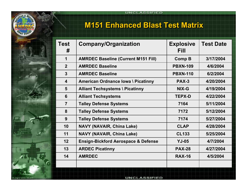

#### **M151 Enhanced Blast Test Matrix M151 Enhanced Blast Test Matrix**

| Test<br>#               | <b>Company/Organization</b>                    | <b>Explosive</b><br>Fill | <b>Test Date</b> |
|-------------------------|------------------------------------------------|--------------------------|------------------|
| 1                       | <b>AMRDEC Baseline (Current M151 Fill)</b>     | <b>Comp B</b>            | 3/17/2004        |
| 2 <sup>2</sup>          | <b>AMRDEC Baseline</b>                         | <b>PBXN-109</b>          | 4/6/2004         |
| $\overline{3}$          | <b>AMRDEC Baseline</b>                         | <b>PBXN-110</b>          | 6/2/2004         |
| $\overline{\mathbf{4}}$ | American Ordnance Iowa \ Picatinny             | PAX-3                    | 4/20/2004        |
| $5\phantom{1}$          | <b>Alliant Techsystems \ Picatinny</b>         | NIX-G                    | 4/19/2004        |
| $6\phantom{1}$          | <b>Alliant Techsystems</b>                     | <b>TEPX-D</b>            | 4/22/2004        |
| $\overline{7}$          | <b>Talley Defense Systems</b>                  | 7164                     | 5/11/2004        |
| 8                       | <b>Talley Defense Systems</b>                  | 7172                     | 5/12/2004        |
| 9                       | <b>Talley Defense Systems</b>                  | 7174                     | 5/27/2004        |
| 10                      | <b>NAVY (NAVAIR, China Lake)</b>               | <b>CLAP</b>              | 4/28/2004        |
| 11                      | <b>NAVY (NAVAIR, China Lake)</b>               | <b>CL133</b>             | 5/25/2004        |
| 12                      | <b>Ensign-Bickford Aerospace &amp; Defense</b> | $YJ-05$                  | 4/7/2004         |
| 13                      | <b>ARDEC Picatinny</b>                         | <b>PAX-28</b>            | 4/27/2004        |
| 14                      | <b>AMRDEC</b>                                  | <b>RAX-16</b>            | 4/5/2004         |
|                         |                                                |                          |                  |

05-0025 NDIA, Slide 6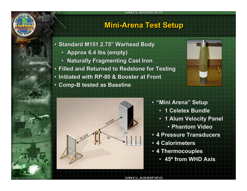

#### **Mini-Arena Test Setup Mini-Arena Test Setup**

- **Standard M151 2.75" Warhead Body Standard M151 2.75" Warhead Body**
	- **Approx 6.4 lbs (empty) Approx 6.4 lbs (empty)**
	- **Naturally Fragmenting Cast Iron Naturally Fragmenting Cast Iron**
- **Filled and Returned to Redstone for Testing Filled and Returned to Redstone for Testing**
- **Initiated with RP-80 & Booster at Front Initiated with RP-80 & Booster at Front**
- **Comp-B tested as Baseline Comp-B tested as Baseline**





- **"Mini Arena" Setup "Mini Arena" Setup**
	- **1 Celetex Bundle 1 Celetex Bundle**
	- **1 Alum Velocity Panel 1 Alum Velocity Panel**
		- **Phantom Video Phantom Video**
- **4 Pressure Transducers 4 Pressure Transducers**
- **4 Calorimeters 4 Calorimeters**
- **4 Thermocouples 4 Thermocouples**
	- **45º from WHD Axis 45º from WHD Axis**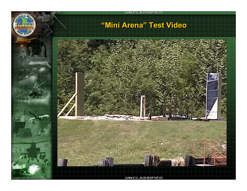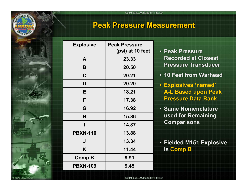

#### **Peak Pressure Measurement Peak Pressure Measurement**

| <b>Explosive</b> | <b>Peak Pressure</b><br>(psi) at 10 feet |  |  |  |
|------------------|------------------------------------------|--|--|--|
| A                | 23.33                                    |  |  |  |
| B                | 20.50                                    |  |  |  |
| $\mathbf C$      | 20.21                                    |  |  |  |
| D                | 20.20                                    |  |  |  |
| Е                | 18.21                                    |  |  |  |
| F                | 17.38                                    |  |  |  |
| G                | 16.92                                    |  |  |  |
| Н                | 15.86                                    |  |  |  |
| I                | 14.87                                    |  |  |  |
| <b>PBXN-110</b>  | 13.88                                    |  |  |  |
| J                | 13.34                                    |  |  |  |
| K                | 11.44                                    |  |  |  |
| <b>Comp B</b>    | 9.91                                     |  |  |  |
| <b>PBXN-109</b>  | 9.45                                     |  |  |  |

- **Peak Pressure Peak Pressure Recorded at Closest Recorded at Closest Pressure TransducerPressure Transducer**
- **10 Feet from Warhead 10 Feet from Warhead**
- **Explosives 'named' Explosives 'named' A-L Based upon Peak A-L Based upon Peak Pressure Data RankPressure Data Rank**
- **Same Nomenclature Same Nomenclature used for Remaining used for Remaining Comparisons Comparisons**
- **Fielded M151 Explosive Fielded M151 Explosive is Comp B is Comp B**

05-0025 NDIA, Slide 9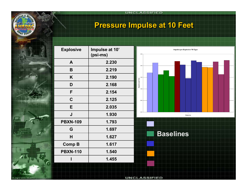

## **Pressure Impulse at 10 Feet**

| Impulse at 10'<br>(psi-ms) |  |  |
|----------------------------|--|--|
| 2.230                      |  |  |
| 2.219                      |  |  |
| 2.190                      |  |  |
| 2.168                      |  |  |
| 2.154                      |  |  |
| 2.125                      |  |  |
| 2.035                      |  |  |
| 1.930                      |  |  |
| 1.793                      |  |  |
| 1.697                      |  |  |
| 1.627                      |  |  |
| 1.617                      |  |  |
| 1.540                      |  |  |
| 1.455                      |  |  |
|                            |  |  |



05-0025 NDIA, Slide 10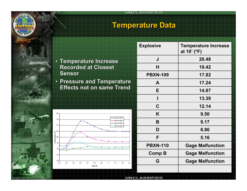#### **Temperature Data Temperature Data**

- **Temperature Increase Temperature Increase Recorded at Closest Recorded at Closest Sensor Sensor**
- **Pressure and Temperature Pressure and Temperature Effects not on same Trend Effects not on same Trend**

| <b>Explosive</b> | <b>Temperature Increase</b><br>at 10' (°F) |  |  |  |
|------------------|--------------------------------------------|--|--|--|
| J                | 20.48                                      |  |  |  |
| н                | 19.42                                      |  |  |  |
| <b>PBXN-109</b>  | 17.82                                      |  |  |  |
| A                | 17.24                                      |  |  |  |
| Е                | 14.87                                      |  |  |  |
| ı                | 13.39                                      |  |  |  |
| $\mathbf C$      | 12.14                                      |  |  |  |
| K                | 9.50                                       |  |  |  |
| B                | 9.17                                       |  |  |  |
| D                | 8.86                                       |  |  |  |
| F                | 5.16                                       |  |  |  |
| <b>PBXN-110</b>  | <b>Gage Malfunction</b>                    |  |  |  |
| Comp B           | <b>Gage Malfunction</b>                    |  |  |  |
| G                | <b>Gage Malfunction</b>                    |  |  |  |
|                  |                                            |  |  |  |

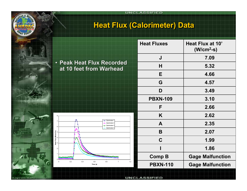

## **Heat Flux (Calorimeter) Data**



• **Peak Heat Flux Recorded**  • **Peak Heat Flux Recorded** 

**at 10 feet from Warhead at 10 feet from Warhead**

| <b>Heat Fluxes</b> | Heat Flux at 10'<br>$(W/cm2-s)$ |  |  |  |
|--------------------|---------------------------------|--|--|--|
| J                  | 7.09                            |  |  |  |
| Н                  | 5.32                            |  |  |  |
| Е                  | 4.66                            |  |  |  |
| G                  | 4.57                            |  |  |  |
| D                  | 3.49                            |  |  |  |
| <b>PBXN-109</b>    | 3.10                            |  |  |  |
| F                  | 2.66                            |  |  |  |
| K                  | 2.62                            |  |  |  |
| A                  | 2.35                            |  |  |  |
| B                  | 2.07                            |  |  |  |
| C                  | 1.99                            |  |  |  |
|                    | 1.86                            |  |  |  |
| <b>Comp B</b>      | <b>Gage Malfunction</b>         |  |  |  |
| <b>PBXN-110</b>    | <b>Gage Malfunction</b>         |  |  |  |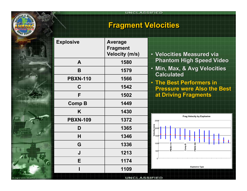

# **Fragment Velocities Fragment Velocities**

| <b>Explosive</b> | <b>Average</b><br><b>Fragment</b><br><b>Velocity (m/s)</b> | • Velocities Measured via                                      |
|------------------|------------------------------------------------------------|----------------------------------------------------------------|
| A                | 1580                                                       | <b>Phantom High Speed Video</b>                                |
| B                | 1579                                                       | · Min, Max, & Avg Velocities                                   |
| <b>PBXN-110</b>  | 1566                                                       | <b>Calculated</b>                                              |
| C                | 1542                                                       | . The Best Performers in<br><b>Pressure were Also the Best</b> |
| F                | 1502                                                       | at Driving Fragments                                           |
| <b>Comp B</b>    | 1449                                                       |                                                                |
| K                | 1430                                                       |                                                                |
| <b>PBXN-109</b>  | 1372                                                       | Frag Velocity by Explosive<br>250 <sub>p</sub>                 |
| D                | 1365                                                       | $\frac{\text{velocity (rms)}}{\text{y} = \frac{2000}{1500}}$   |
| H                | 1346                                                       |                                                                |
| G                | 1336                                                       | 100 <sub>t</sub><br>BXN-109<br>m<br>Corne                      |
| J                | 1213                                                       | ă<br>50                                                        |
| E                | 1174                                                       |                                                                |
|                  | 1109                                                       | <b>Explosive Type</b>                                          |
|                  | IINCI                                                      | eeififf                                                        |

05-0025 NDIA, Slide 13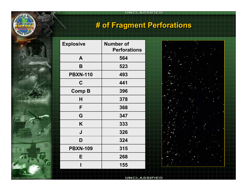# **# of Fragment Perforations # of Fragment Perforations**

| <b>Explosive</b> | <b>Number of</b><br><b>Perforations</b> |  |  |
|------------------|-----------------------------------------|--|--|
| $\mathbf{A}$     | 564                                     |  |  |
| B                | 523                                     |  |  |
| <b>PBXN-110</b>  | 493                                     |  |  |
| $\mathbf C$      | 441                                     |  |  |
| <b>Comp B</b>    | 396                                     |  |  |
| H                | 378                                     |  |  |
| F                | 368                                     |  |  |
| G                | 347                                     |  |  |
| K                | 333                                     |  |  |
| $\mathsf{J}$     | 326                                     |  |  |
| D                | 324                                     |  |  |
| <b>PBXN-109</b>  | 315                                     |  |  |
| E                | 268                                     |  |  |
|                  | 155                                     |  |  |

05-0025 NDIA, Slide 14